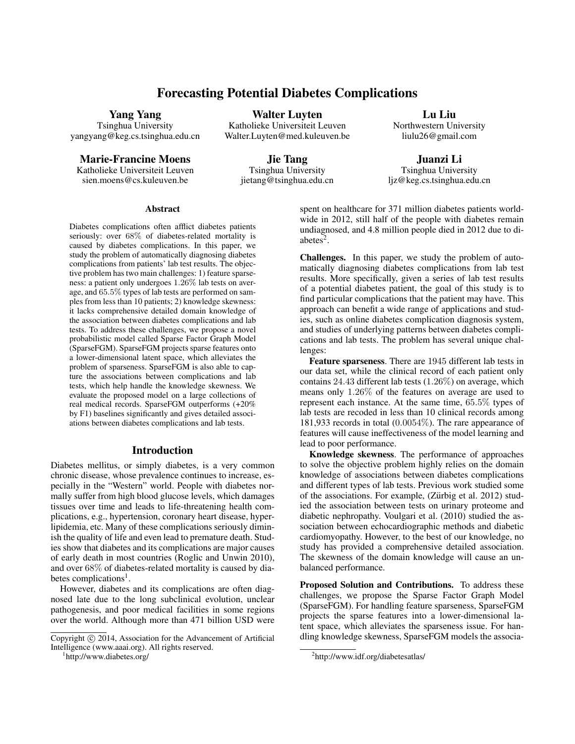# Forecasting Potential Diabetes Complications

Walter Luyten Katholieke Universiteit Leuven Walter.Luyten@med.kuleuven.be

Yang Yang

Tsinghua University yangyang@keg.cs.tsinghua.edu.cn

Marie-Francine Moens

Katholieke Universiteit Leuven sien.moens@cs.kuleuven.be

Jie Tang Tsinghua University jietang@tsinghua.edu.cn

Lu Liu Northwestern University liulu26@gmail.com

Juanzi Li Tsinghua University ljz@keg.cs.tsinghua.edu.cn

#### **Abstract**

Diabetes complications often afflict diabetes patients seriously: over 68% of diabetes-related mortality is caused by diabetes complications. In this paper, we study the problem of automatically diagnosing diabetes complications from patients' lab test results. The objective problem has two main challenges: 1) feature sparseness: a patient only undergoes 1.26% lab tests on average, and 65.5% types of lab tests are performed on samples from less than 10 patients; 2) knowledge skewness: it lacks comprehensive detailed domain knowledge of the association between diabetes complications and lab tests. To address these challenges, we propose a novel probabilistic model called Sparse Factor Graph Model (SparseFGM). SparseFGM projects sparse features onto a lower-dimensional latent space, which alleviates the problem of sparseness. SparseFGM is also able to capture the associations between complications and lab tests, which help handle the knowledge skewness. We evaluate the proposed model on a large collections of real medical records. SparseFGM outperforms (+20% by F1) baselines significantly and gives detailed associations between diabetes complications and lab tests.

# Introduction

Diabetes mellitus, or simply diabetes, is a very common chronic disease, whose prevalence continues to increase, especially in the "Western" world. People with diabetes normally suffer from high blood glucose levels, which damages tissues over time and leads to life-threatening health complications, e.g., hypertension, coronary heart disease, hyperlipidemia, etc. Many of these complications seriously diminish the quality of life and even lead to premature death. Studies show that diabetes and its complications are major causes of early death in most countries (Roglic and Unwin 2010), and over 68% of diabetes-related mortality is caused by diabetes complications<sup>1</sup>.

However, diabetes and its complications are often diagnosed late due to the long subclinical evolution, unclear pathogenesis, and poor medical facilities in some regions over the world. Although more than 471 billion USD were

1 http://www.diabetes.org/

spent on healthcare for 371 million diabetes patients worldwide in 2012, still half of the people with diabetes remain undiagnosed, and 4.8 million people died in 2012 due to diabetes<sup>2</sup>.

Challenges. In this paper, we study the problem of automatically diagnosing diabetes complications from lab test results. More specifically, given a series of lab test results of a potential diabetes patient, the goal of this study is to find particular complications that the patient may have. This approach can benefit a wide range of applications and studies, such as online diabetes complication diagnosis system, and studies of underlying patterns between diabetes complications and lab tests. The problem has several unique challenges:

Feature sparseness. There are 1945 different lab tests in our data set, while the clinical record of each patient only contains 24.43 different lab tests (1.26%) on average, which means only 1.26% of the features on average are used to represent each instance. At the same time, 65.5% types of lab tests are recoded in less than 10 clinical records among 181,933 records in total (0.0054%). The rare appearance of features will cause ineffectiveness of the model learning and lead to poor performance.

Knowledge skewness. The performance of approaches to solve the objective problem highly relies on the domain knowledge of associations between diabetes complications and different types of lab tests. Previous work studied some of the associations. For example, (Zürbig et al. 2012) studied the association between tests on urinary proteome and diabetic nephropathy. Voulgari et al. (2010) studied the association between echocardiographic methods and diabetic cardiomyopathy. However, to the best of our knowledge, no study has provided a comprehensive detailed association. The skewness of the domain knowledge will cause an unbalanced performance.

Proposed Solution and Contributions. To address these challenges, we propose the Sparse Factor Graph Model (SparseFGM). For handling feature sparseness, SparseFGM projects the sparse features into a lower-dimensional latent space, which alleviates the sparseness issue. For handling knowledge skewness, SparseFGM models the associa-

Copyright (c) 2014, Association for the Advancement of Artificial Intelligence (www.aaai.org). All rights reserved.

<sup>&</sup>lt;sup>2</sup>http://www.idf.org/diabetesatlas/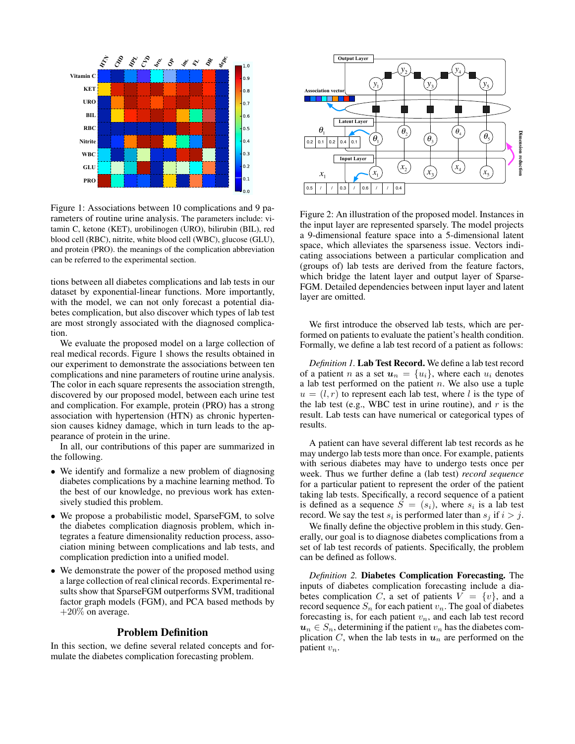

Figure 1: Associations between 10 complications and 9 parameters of routine urine analysis. The parameters include: vitamin C, ketone (KET), urobilinogen (URO), bilirubin (BIL), red blood cell (RBC), nitrite, white blood cell (WBC), glucose (GLU), and protein (PRO). the meanings of the complication abbreviation can be referred to the experimental section.

tions between all diabetes complications and lab tests in our dataset by exponential-linear functions. More importantly, with the model, we can not only forecast a potential diabetes complication, but also discover which types of lab test are most strongly associated with the diagnosed complication.

We evaluate the proposed model on a large collection of real medical records. Figure 1 shows the results obtained in our experiment to demonstrate the associations between ten complications and nine parameters of routine urine analysis. The color in each square represents the association strength, discovered by our proposed model, between each urine test and complication. For example, protein (PRO) has a strong association with hypertension (HTN) as chronic hypertension causes kidney damage, which in turn leads to the appearance of protein in the urine.

In all, our contributions of this paper are summarized in the following.

- We identify and formalize a new problem of diagnosing diabetes complications by a machine learning method. To the best of our knowledge, no previous work has extensively studied this problem.
- We propose a probabilistic model, SparseFGM, to solve the diabetes complication diagnosis problem, which integrates a feature dimensionality reduction process, association mining between complications and lab tests, and complication prediction into a unified model.
- We demonstrate the power of the proposed method using a large collection of real clinical records. Experimental results show that SparseFGM outperforms SVM, traditional factor graph models (FGM), and PCA based methods by  $+20\%$  on average.

### Problem Definition

In this section, we define several related concepts and formulate the diabetes complication forecasting problem.



Figure 2: An illustration of the proposed model. Instances in the input layer are represented sparsely. The model projects a 9-dimensional feature space into a 5-dimensional latent space, which alleviates the sparseness issue. Vectors indicating associations between a particular complication and (groups of) lab tests are derived from the feature factors, which bridge the latent layer and output layer of Sparse-FGM. Detailed dependencies between input layer and latent layer are omitted.

We first introduce the observed lab tests, which are performed on patients to evaluate the patient's health condition. Formally, we define a lab test record of a patient as follows:

*Definition 1.* Lab Test Record. We define a lab test record of a patient n as a set  $u_n = \{u_i\}$ , where each  $u_i$  denotes a lab test performed on the patient  $n$ . We also use a tuple  $u = (l, r)$  to represent each lab test, where l is the type of the lab test (e.g., WBC test in urine routine), and  $r$  is the result. Lab tests can have numerical or categorical types of results.

A patient can have several different lab test records as he may undergo lab tests more than once. For example, patients with serious diabetes may have to undergo tests once per week. Thus we further define a (lab test) *record sequence* for a particular patient to represent the order of the patient taking lab tests. Specifically, a record sequence of a patient is defined as a sequence  $S = (s_i)$ , where  $s_i$  is a lab test record. We say the test  $s_i$  is performed later than  $s_j$  if  $i > j$ .

We finally define the objective problem in this study. Generally, our goal is to diagnose diabetes complications from a set of lab test records of patients. Specifically, the problem can be defined as follows.

*Definition 2.* Diabetes Complication Forecasting. The inputs of diabetes complication forecasting include a diabetes complication C, a set of patients  $V = \{v\}$ , and a record sequence  $S_n$  for each patient  $v_n$ . The goal of diabetes forecasting is, for each patient  $v_n$ , and each lab test record  $u_n \in S_n$ , determining if the patient  $v_n$  has the diabetes complication C, when the lab tests in  $u_n$  are performed on the patient  $v_n$ .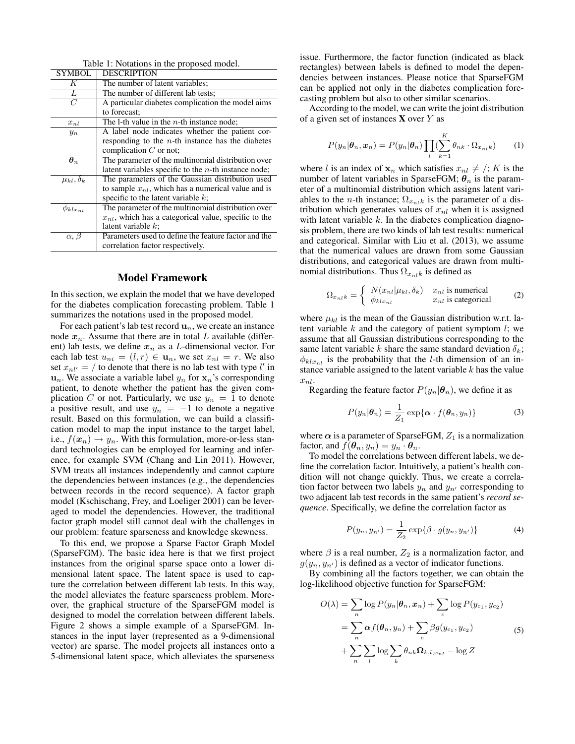| <b>SYMBOL</b>        | <b>DESCRIPTION</b>                                        |
|----------------------|-----------------------------------------------------------|
| K                    | The number of latent variables;                           |
| $\overline{L}$       | The number of different lab tests;                        |
| $\overline{C}$       | A particular diabetes complication the model aims         |
|                      | to forecast:                                              |
| $x_{nl}$             | The 1-th value in the $n$ -th instance node;              |
| $y_n$                | A label node indicates whether the patient cor-           |
|                      | responding to the $n$ -th instance has the diabetes       |
|                      | complication $C$ or not:                                  |
| $\bm{\theta}_n$      | The parameter of the multinomial distribution over        |
|                      | latent variables specific to the $n$ -th instance node;   |
| $\mu_{kl}, \delta_k$ | The parameters of the Gaussian distribution used          |
|                      | to sample $x_{nl}$ , which has a numerical value and is   |
|                      | specific to the latent variable $k$ ;                     |
| $\phi_{klx_{nl}}$    | The parameter of the multinomial distribution over        |
|                      | $x_{nl}$ , which has a categorical value, specific to the |
|                      | latent variable $k$ ;                                     |
| $\alpha, \beta$      | Parameters used to define the feature factor and the      |
|                      | correlation factor respectively.                          |

Table 1: Notations in the proposed model.

#### Model Framework

In this section, we explain the model that we have developed for the diabetes complication forecasting problem. Table 1 summarizes the notations used in the proposed model.

For each patient's lab test record  $\mathbf{u}_n$ , we create an instance node  $x_n$ . Assume that there are in total L available (different) lab tests, we define  $x_n$  as a L-dimensional vector. For each lab test  $u_{ni} = (l, r) \in \mathbf{u}_n$ , we set  $x_{nl} = r$ . We also set  $x_{nl'} = /$  to denote that there is no lab test with type l' in  $u_n$ . We associate a variable label  $y_n$  for  $x_n$ 's corresponding patient, to denote whether the patient has the given complication C or not. Particularly, we use  $y_n = 1$  to denote a positive result, and use  $y_n = -1$  to denote a negative result. Based on this formulation, we can build a classification model to map the input instance to the target label, i.e.,  $f(\mathbf{x}_n) \rightarrow y_n$ . With this formulation, more-or-less standard technologies can be employed for learning and inference, for example SVM (Chang and Lin 2011). However, SVM treats all instances independently and cannot capture the dependencies between instances (e.g., the dependencies between records in the record sequence). A factor graph model (Kschischang, Frey, and Loeliger 2001) can be leveraged to model the dependencies. However, the traditional factor graph model still cannot deal with the challenges in our problem: feature sparseness and knowledge skewness.

To this end, we propose a Sparse Factor Graph Model (SparseFGM). The basic idea here is that we first project instances from the original sparse space onto a lower dimensional latent space. The latent space is used to capture the correlation between different lab tests. In this way, the model alleviates the feature sparseness problem. Moreover, the graphical structure of the SparseFGM model is designed to model the correlation between different labels. Figure 2 shows a simple example of a SparseFGM. Instances in the input layer (represented as a 9-dimensional vector) are sparse. The model projects all instances onto a 5-dimensional latent space, which alleviates the sparseness issue. Furthermore, the factor function (indicated as black rectangles) between labels is defined to model the dependencies between instances. Please notice that SparseFGM can be applied not only in the diabetes complication forecasting problem but also to other similar scenarios.

According to the model, we can write the joint distribution of a given set of instances  $X$  over  $Y$  as

$$
P(y_n|\boldsymbol{\theta}_n,\boldsymbol{x}_n) = P(y_n|\boldsymbol{\theta}_n) \prod_l (\sum_{k=1}^K \theta_{nk} \cdot \Omega_{x_{nl}k}) \qquad (1)
$$

where l is an index of  $x_n$  which satisfies  $x_{nl} \neq /; K$  is the number of latent variables in SparseFGM;  $\theta_n$  is the parameter of a multinomial distribution which assigns latent variables to the *n*-th instance;  $\Omega_{x_{nl}k}$  is the parameter of a distribution which generates values of  $x_{nl}$  when it is assigned with latent variable  $k$ . In the diabetes complication diagnosis problem, there are two kinds of lab test results: numerical and categorical. Similar with Liu et al. (2013), we assume that the numerical values are drawn from some Gaussian distributions, and categorical values are drawn from multinomial distributions. Thus  $\Omega_{x_n,k}$  is defined as

$$
\Omega_{x_{nl}k} = \begin{cases} N(x_{nl}|\mu_{kl}, \delta_k) & x_{nl} \text{ is numerical} \\ \phi_{klx_{nl}} & x_{nl} \text{ is categorical} \end{cases}
$$
 (2)

where  $\mu_{kl}$  is the mean of the Gaussian distribution w.r.t. latent variable  $k$  and the category of patient symptom  $l$ ; we assume that all Gaussian distributions corresponding to the same latent variable k share the same standard deviation  $\delta_k$ ;  $\phi_{klx_{nl}}$  is the probability that the *l*-th dimension of an instance variable assigned to the latent variable  $k$  has the value  $x_{nl}$ .

Regarding the feature factor  $P(y_n|\theta_n)$ , we define it as

$$
P(y_n|\boldsymbol{\theta}_n) = \frac{1}{Z_1} \exp{\{\boldsymbol{\alpha} \cdot f(\boldsymbol{\theta}_n, y_n)\}}
$$
(3)

where  $\alpha$  is a parameter of SparseFGM,  $Z_1$  is a normalization factor, and  $f(\theta_n, y_n) = y_n \cdot \theta_n$ .

To model the correlations between different labels, we define the correlation factor. Intuitively, a patient's health condition will not change quickly. Thus, we create a correlation factor between two labels  $y_n$  and  $y_{n'}$  corresponding to two adjacent lab test records in the same patient's *record sequence*. Specifically, we define the correlation factor as

$$
P(y_n, y_{n'}) = \frac{1}{Z_2} \exp\{\beta \cdot g(y_n, y_{n'})\}
$$
 (4)

where  $\beta$  is a real number,  $Z_2$  is a normalization factor, and  $g(y_n, y_{n'})$  is defined as a vector of indicator functions.

By combining all the factors together, we can obtain the log-likelihood objective function for SparseFGM:

$$
O(\lambda) = \sum_{n} \log P(y_n | \theta_n, x_n) + \sum_{c} \log P(y_{c_1}, y_{c_2})
$$
  
= 
$$
\sum_{n} \alpha f(\theta_n, y_n) + \sum_{c} \beta g(y_{c_1}, y_{c_2})
$$
  
+ 
$$
\sum_{n} \sum_{l} \log \sum_{k} \theta_{nk} \Omega_{k, l, x_{nl}} - \log Z
$$
 (5)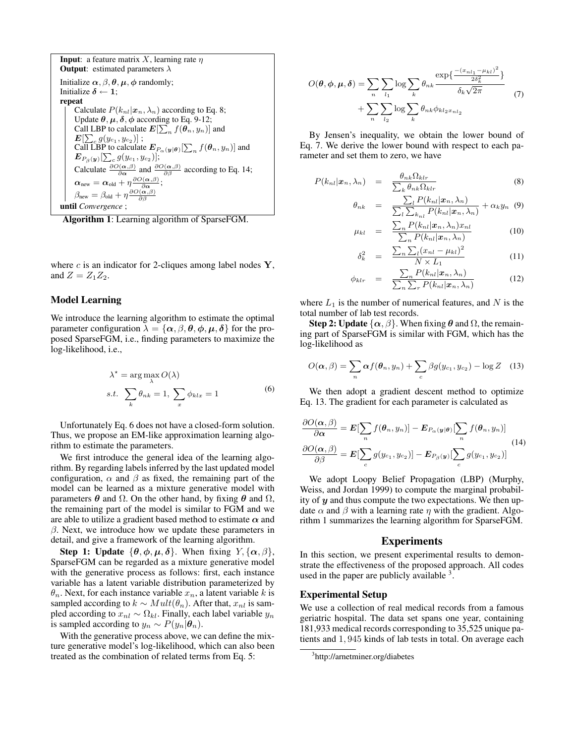```
Input: a feature matrix X, learning rate \etaOutput: estimated parameters \lambdaInitialize \alpha, \beta, \theta, \mu, \phi randomly;
Initialize \delta \leftarrow 1;
repeat
        Calculate P(k_{nl}|\mathbf{x}_n, \lambda_n) according to Eq. 8;
        Update \theta, \mu, \delta, \phi according to Eq. 9-12;
         Call LBP to calculate E[\sum_{n} f(\theta_n, y_n)] and
         \pmb{E}[\sum_c g(y_{c_1},y_{c_2})] ;
         Call LBP to calculate E_{P_\alpha(y|\theta)}[\sum_n f(\theta_n, y_n)] and
         \bm{E}_{P_{\bm{\beta}}(\bm{y})}[\sum_c g(y_{c_1},y_{c_2})];\frac{\mathcal{L}_{P_{\beta}}(y)|\sum_{c} g(y_{c1}, g_{c2})|}{\partial \alpha}, and \frac{\partial O(\alpha, \beta)}{\partial \beta} according to Eq. 14;
         \boldsymbol{\alpha}_\mathrm{new} = \boldsymbol{\alpha}_\mathrm{old} + \eta \frac{\partial O(\boldsymbol{\alpha}, \beta)}{\partial \boldsymbol{\alpha}};\beta_\mathrm{new} = \beta_\mathrm{old} + \eta \frac{\partial O(\bm{\alpha}, \beta)}{\partial \beta}until Convergence ;
```
Algorithm 1: Learning algorithm of SparseFGM.

where c is an indicator for 2-cliques among label nodes  $Y$ , and  $Z = Z_1 Z_2$ .

# Model Learning

We introduce the learning algorithm to estimate the optimal parameter configuration  $\lambda = {\alpha, \beta, \theta, \phi, \mu, \delta}$  for the proposed SparseFGM, i.e., finding parameters to maximize the log-likelihood, i.e.,

$$
\lambda^* = \arg \max_{\lambda} O(\lambda)
$$
  
s.t. 
$$
\sum_{k} \theta_{nk} = 1, \sum_{x} \phi_{klx} = 1
$$
 (6)

Unfortunately Eq. 6 does not have a closed-form solution. Thus, we propose an EM-like approximation learning algorithm to estimate the parameters.

We first introduce the general idea of the learning algorithm. By regarding labels inferred by the last updated model configuration,  $\alpha$  and  $\beta$  as fixed, the remaining part of the model can be learned as a mixture generative model with parameters  $\theta$  and  $\Omega$ . On the other hand, by fixing  $\theta$  and  $\Omega$ , the remaining part of the model is similar to FGM and we are able to utilize a gradient based method to estimate  $\alpha$  and  $\beta$ . Next, we introduce how we update these parameters in detail, and give a framework of the learning algorithm.

Step 1: Update  $\{\theta, \phi, \mu, \delta\}$ . When fixing  $Y, \{\alpha, \beta\}$ , SparseFGM can be regarded as a mixture generative model with the generative process as follows: first, each instance variable has a latent variable distribution parameterized by  $\theta_n$ . Next, for each instance variable  $x_n$ , a latent variable k is sampled according to  $k \sim Mult(\theta_n)$ . After that,  $x_{nl}$  is sampled according to  $x_{nl} \sim \Omega_{kl}$ . Finally, each label variable  $y_n$ is sampled according to  $y_n \sim P(y_n|\theta_n)$ .

With the generative process above, we can define the mixture generative model's log-likelihood, which can also been treated as the combination of related terms from Eq. 5:

$$
O(\theta, \phi, \mu, \delta) = \sum_{n} \sum_{l_1} \log \sum_{k} \theta_{nk} \frac{\exp\left\{ \frac{-(x_{n l_1} - \mu_{k l})^2}{2\delta_k^2} \right\}}{\delta_k \sqrt{2\pi}} + \sum_{n} \sum_{l_2} \log \sum_{k} \theta_{nk} \phi_{k l_2 x_{n l_2}} \tag{7}
$$

By Jensen's inequality, we obtain the lower bound of Eq. 7. We derive the lower bound with respect to each parameter and set them to zero, we have

$$
P(k_{nl}|\boldsymbol{x}_n,\lambda_n) = \frac{\theta_{nk}\Omega_{klr}}{\sum_k \theta_{nk}\Omega_{klr}}
$$
(8)

$$
\theta_{nk} = \frac{\sum_{l} P(k_{nl}|\mathbf{x}_n, \lambda_n)}{\sum_{l} \sum_{k_{nl}} P(k_{nl}|\mathbf{x}_n, \lambda_n)} + \alpha_k y_n \quad (9)
$$

$$
\mu_{kl} = \frac{\sum_{n} P(k_{nl}|\boldsymbol{x}_{n}, \lambda_{n}) x_{nl}}{\sum_{n} P(k_{nl}|\boldsymbol{x}_{n}, \lambda_{n})}
$$
(10)

$$
\delta_k^2 = \frac{\sum_n \sum_l (x_{nl} - \mu_{kl})^2}{N \times L_1} \tag{11}
$$

$$
\phi_{klr} = \frac{\sum_{n} P(k_{nl}|\boldsymbol{x}_{n}, \lambda_{n})}{\sum_{n} \sum_{r} P(k_{nl}|\boldsymbol{x}_{n}, \lambda_{n})}
$$
(12)

where  $L_1$  is the number of numerical features, and N is the total number of lab test records.

**Step 2: Update**  $\{\alpha, \beta\}$ . When fixing  $\theta$  and  $\Omega$ , the remaining part of SparseFGM is similar with FGM, which has the log-likelihood as

$$
O(\boldsymbol{\alpha}, \beta) = \sum_{n} \boldsymbol{\alpha} f(\boldsymbol{\theta}_{n}, y_{n}) + \sum_{c} \beta g(y_{c_{1}}, y_{c_{2}}) - \log Z \quad (13)
$$

We then adopt a gradient descent method to optimize Eq. 13. The gradient for each parameter is calculated as

$$
\frac{\partial O(\alpha, \beta)}{\partial \alpha} = \mathbf{E}[\sum_{n} f(\theta_n, y_n)] - \mathbf{E}_{P_{\alpha}(y|\theta)}[\sum_{n} f(\theta_n, y_n)]
$$
\n
$$
\frac{\partial O(\alpha, \beta)}{\partial \beta} = \mathbf{E}[\sum_{c} g(y_{c_1}, y_{c_2})] - \mathbf{E}_{P_{\beta}(y)}[\sum_{c} g(y_{c_1}, y_{c_2})]
$$
\n(14)

We adopt Loopy Belief Propagation (LBP) (Murphy, Weiss, and Jordan 1999) to compute the marginal probability of  $y$  and thus compute the two expectations. We then update  $\alpha$  and  $\beta$  with a learning rate  $\eta$  with the gradient. Algorithm 1 summarizes the learning algorithm for SparseFGM.

# Experiments

In this section, we present experimental results to demonstrate the effectiveness of the proposed approach. All codes used in the paper are publicly available  $3$ .

#### Experimental Setup

We use a collection of real medical records from a famous geriatric hospital. The data set spans one year, containing 181,933 medical records corresponding to 35,525 unique patients and 1, 945 kinds of lab tests in total. On average each

<sup>3</sup> http://arnetminer.org/diabetes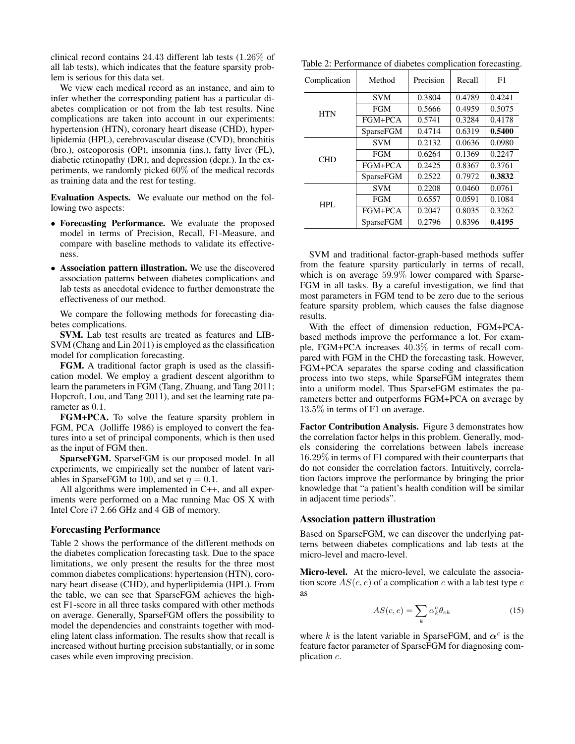clinical record contains 24.43 different lab tests (1.26% of all lab tests), which indicates that the feature sparsity problem is serious for this data set.

We view each medical record as an instance, and aim to infer whether the corresponding patient has a particular diabetes complication or not from the lab test results. Nine complications are taken into account in our experiments: hypertension (HTN), coronary heart disease (CHD), hyperlipidemia (HPL), cerebrovascular disease (CVD), bronchitis (bro.), osteoporosis (OP), insomnia (ins.), fatty liver (FL), diabetic retinopathy (DR), and depression (depr.). In the experiments, we randomly picked 60% of the medical records as training data and the rest for testing.

Evaluation Aspects. We evaluate our method on the following two aspects:

- Forecasting Performance. We evaluate the proposed model in terms of Precision, Recall, F1-Measure, and compare with baseline methods to validate its effectiveness.
- Association pattern illustration. We use the discovered association patterns between diabetes complications and lab tests as anecdotal evidence to further demonstrate the effectiveness of our method.

We compare the following methods for forecasting diabetes complications.

SVM. Lab test results are treated as features and LIB-SVM (Chang and Lin 2011) is employed as the classification model for complication forecasting.

FGM. A traditional factor graph is used as the classification model. We employ a gradient descent algorithm to learn the parameters in FGM (Tang, Zhuang, and Tang 2011; Hopcroft, Lou, and Tang 2011), and set the learning rate parameter as 0.1.

FGM+PCA. To solve the feature sparsity problem in FGM, PCA (Jolliffe 1986) is employed to convert the features into a set of principal components, which is then used as the input of FGM then.

SparseFGM. SparseFGM is our proposed model. In all experiments, we empirically set the number of latent variables in SparseFGM to 100, and set  $\eta = 0.1$ .

All algorithms were implemented in C++, and all experiments were performed on a Mac running Mac OS X with Intel Core i7 2.66 GHz and 4 GB of memory.

### Forecasting Performance

Table 2 shows the performance of the different methods on the diabetes complication forecasting task. Due to the space limitations, we only present the results for the three most common diabetes complications: hypertension (HTN), coronary heart disease (CHD), and hyperlipidemia (HPL). From the table, we can see that SparseFGM achieves the highest F1-score in all three tasks compared with other methods on average. Generally, SparseFGM offers the possibility to model the dependencies and constraints together with modeling latent class information. The results show that recall is increased without hurting precision substantially, or in some cases while even improving precision.

Table 2: Performance of diabetes complication forecasting.

| Complication | Method           | Precision | Recall | F1     |
|--------------|------------------|-----------|--------|--------|
| <b>HTN</b>   | <b>SVM</b>       | 0.3804    | 0.4789 | 0.4241 |
|              | <b>FGM</b>       | 0.5666    | 0.4959 | 0.5075 |
|              | FGM+PCA          | 0.5741    | 0.3284 | 0.4178 |
|              | SparseFGM        | 0.4714    | 0.6319 | 0.5400 |
| <b>CHD</b>   | <b>SVM</b>       | 0.2132    | 0.0636 | 0.0980 |
|              | <b>FGM</b>       | 0.6264    | 0.1369 | 0.2247 |
|              | FGM+PCA          | 0.2425    | 0.8367 | 0.3761 |
|              | <b>SparseFGM</b> | 0.2522    | 0.7972 | 0.3832 |
| HPL.         | <b>SVM</b>       | 0.2208    | 0.0460 | 0.0761 |
|              | <b>FGM</b>       | 0.6557    | 0.0591 | 0.1084 |
|              | FGM+PCA          | 0.2047    | 0.8035 | 0.3262 |
|              | <b>SparseFGM</b> | 0.2796    | 0.8396 | 0.4195 |

SVM and traditional factor-graph-based methods suffer from the feature sparsity particularly in terms of recall, which is on average 59.9% lower compared with Sparse-FGM in all tasks. By a careful investigation, we find that most parameters in FGM tend to be zero due to the serious feature sparsity problem, which causes the false diagnose results.

With the effect of dimension reduction, FGM+PCAbased methods improve the performance a lot. For example, FGM+PCA increases 40.3% in terms of recall compared with FGM in the CHD the forecasting task. However, FGM+PCA separates the sparse coding and classification process into two steps, while SparseFGM integrates them into a uniform model. Thus SparseFGM estimates the parameters better and outperforms FGM+PCA on average by 13.5% in terms of F1 on average.

Factor Contribution Analysis. Figure 3 demonstrates how the correlation factor helps in this problem. Generally, models considering the correlations between labels increase 16.29% in terms of F1 compared with their counterparts that do not consider the correlation factors. Intuitively, correlation factors improve the performance by bringing the prior knowledge that "a patient's health condition will be similar in adjacent time periods".

#### Association pattern illustration

Based on SparseFGM, we can discover the underlying patterns between diabetes complications and lab tests at the micro-level and macro-level.

Micro-level. At the micro-level, we calculate the association score  $AS(c, e)$  of a complication c with a lab test type e as

$$
AS(c, e) = \sum_{k} \alpha_{k}^{c} \theta_{ek}
$$
 (15)

where k is the latent variable in SparseFGM, and  $\alpha^c$  is the feature factor parameter of SparseFGM for diagnosing complication c.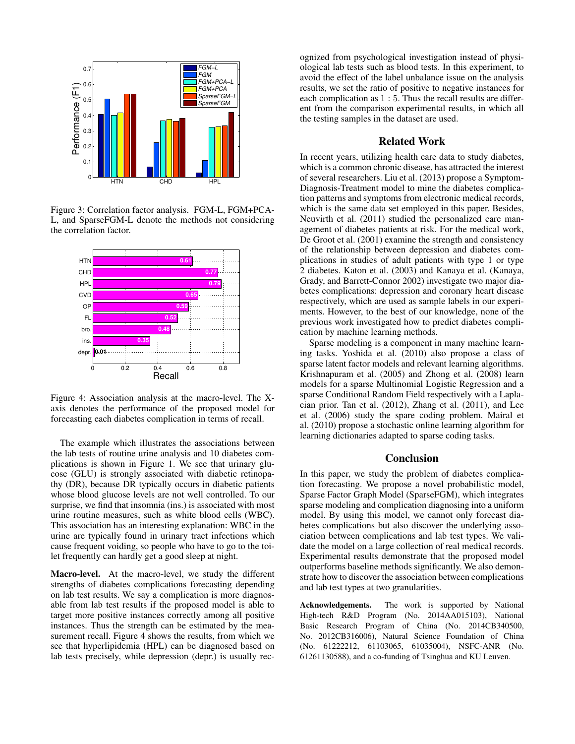

Figure 3: Correlation factor analysis. FGM-L, FGM+PCA-L, and SparseFGM-L denote the methods not considering the correlation factor.



Figure 4: Association analysis at the macro-level. The Xaxis denotes the performance of the proposed model for forecasting each diabetes complication in terms of recall.

The example which illustrates the associations between the lab tests of routine urine analysis and 10 diabetes complications is shown in Figure 1. We see that urinary glucose (GLU) is strongly associated with diabetic retinopathy (DR), because DR typically occurs in diabetic patients whose blood glucose levels are not well controlled. To our surprise, we find that insomnia (ins.) is associated with most urine routine measures, such as white blood cells (WBC). This association has an interesting explanation: WBC in the urine are typically found in urinary tract infections which cause frequent voiding, so people who have to go to the toilet frequently can hardly get a good sleep at night.

Macro-level. At the macro-level, we study the different strengths of diabetes complications forecasting depending on lab test results. We say a complication is more diagnosable from lab test results if the proposed model is able to target more positive instances correctly among all positive instances. Thus the strength can be estimated by the measurement recall. Figure 4 shows the results, from which we see that hyperlipidemia (HPL) can be diagnosed based on lab tests precisely, while depression (depr.) is usually rec-

ognized from psychological investigation instead of physiological lab tests such as blood tests. In this experiment, to avoid the effect of the label unbalance issue on the analysis results, we set the ratio of positive to negative instances for each complication as 1 : 5. Thus the recall results are different from the comparison experimental results, in which all the testing samples in the dataset are used.

### Related Work

In recent years, utilizing health care data to study diabetes, which is a common chronic disease, has attracted the interest of several researchers. Liu et al. (2013) propose a Symptom-Diagnosis-Treatment model to mine the diabetes complication patterns and symptoms from electronic medical records, which is the same data set employed in this paper. Besides, Neuvirth et al. (2011) studied the personalized care management of diabetes patients at risk. For the medical work, De Groot et al. (2001) examine the strength and consistency of the relationship between depression and diabetes complications in studies of adult patients with type 1 or type 2 diabetes. Katon et al. (2003) and Kanaya et al. (Kanaya, Grady, and Barrett-Connor 2002) investigate two major diabetes complications: depression and coronary heart disease respectively, which are used as sample labels in our experiments. However, to the best of our knowledge, none of the previous work investigated how to predict diabetes complication by machine learning methods.

Sparse modeling is a component in many machine learning tasks. Yoshida et al. (2010) also propose a class of sparse latent factor models and relevant learning algorithms. Krishnapuram et al. (2005) and Zhong et al. (2008) learn models for a sparse Multinomial Logistic Regression and a sparse Conditional Random Field respectively with a Laplacian prior. Tan et al. (2012), Zhang et al. (2011), and Lee et al. (2006) study the spare coding problem. Mairal et al. (2010) propose a stochastic online learning algorithm for learning dictionaries adapted to sparse coding tasks.

### Conclusion

In this paper, we study the problem of diabetes complication forecasting. We propose a novel probabilistic model, Sparse Factor Graph Model (SparseFGM), which integrates sparse modeling and complication diagnosing into a uniform model. By using this model, we cannot only forecast diabetes complications but also discover the underlying association between complications and lab test types. We validate the model on a large collection of real medical records. Experimental results demonstrate that the proposed model outperforms baseline methods significantly. We also demonstrate how to discover the association between complications and lab test types at two granularities.

Acknowledgements. The work is supported by National High-tech R&D Program (No. 2014AA015103), National Basic Research Program of China (No. 2014CB340500, No. 2012CB316006), Natural Science Foundation of China (No. 61222212, 61103065, 61035004), NSFC-ANR (No. 61261130588), and a co-funding of Tsinghua and KU Leuven.